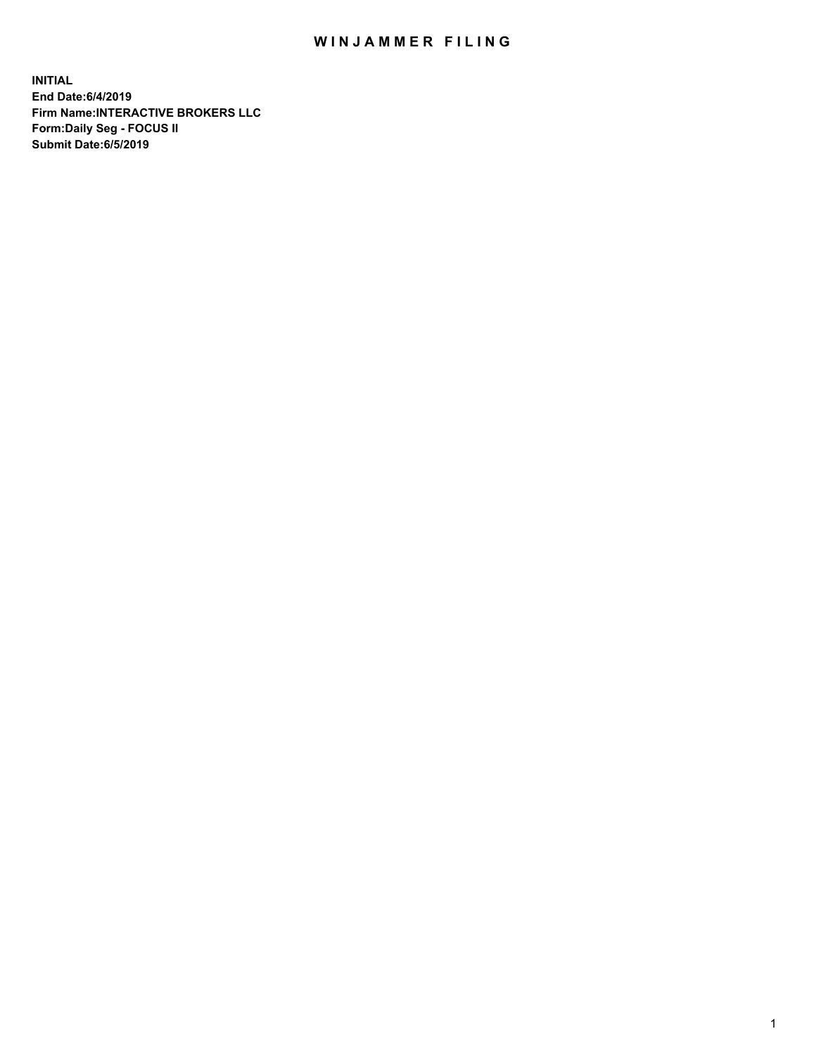## WIN JAMMER FILING

**INITIAL End Date:6/4/2019 Firm Name:INTERACTIVE BROKERS LLC Form:Daily Seg - FOCUS II Submit Date:6/5/2019**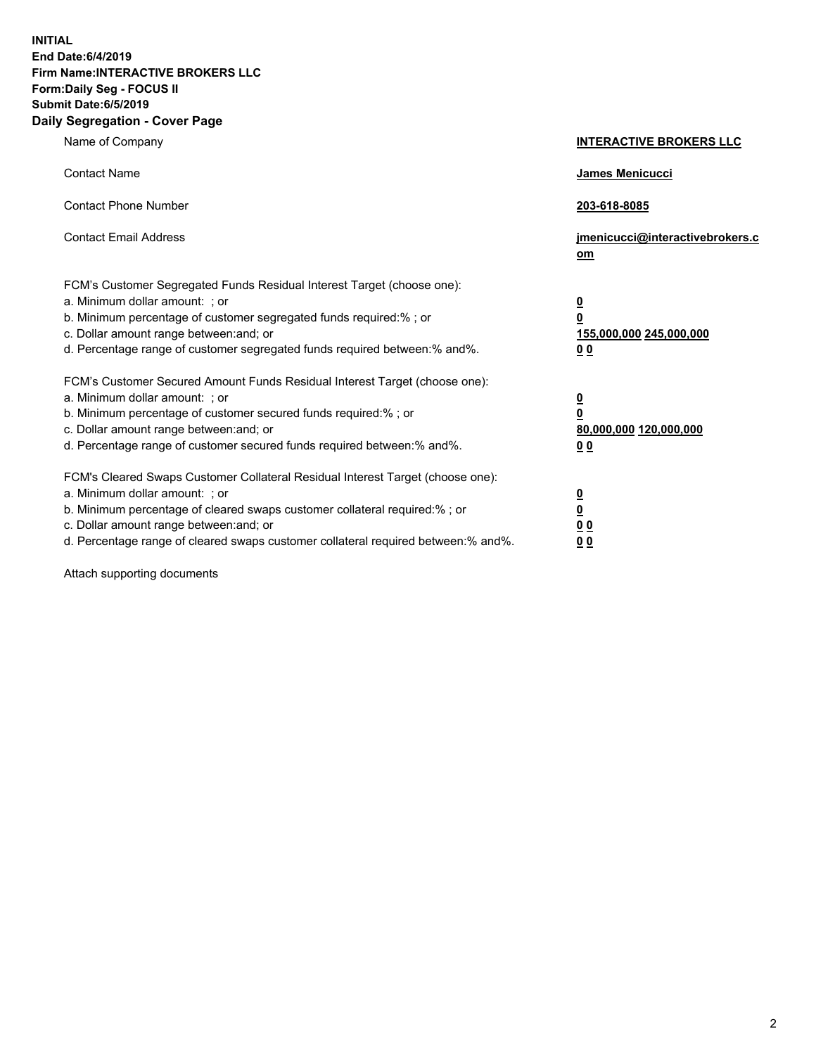**INITIAL End Date:6/4/2019 Firm Name:INTERACTIVE BROKERS LLC Form:Daily Seg - FOCUS II Submit Date:6/5/2019 Daily Segregation - Cover Page**

| Name of Company                                                                                                                                                                                                                                                                                                                | <b>INTERACTIVE BROKERS LLC</b>                                                                  |  |
|--------------------------------------------------------------------------------------------------------------------------------------------------------------------------------------------------------------------------------------------------------------------------------------------------------------------------------|-------------------------------------------------------------------------------------------------|--|
| <b>Contact Name</b>                                                                                                                                                                                                                                                                                                            | <b>James Menicucci</b>                                                                          |  |
| <b>Contact Phone Number</b>                                                                                                                                                                                                                                                                                                    | 203-618-8085                                                                                    |  |
| <b>Contact Email Address</b>                                                                                                                                                                                                                                                                                                   | jmenicucci@interactivebrokers.c<br>om                                                           |  |
| FCM's Customer Segregated Funds Residual Interest Target (choose one):<br>a. Minimum dollar amount: ; or<br>b. Minimum percentage of customer segregated funds required:% ; or<br>c. Dollar amount range between: and; or<br>d. Percentage range of customer segregated funds required between:% and%.                         | $\overline{\mathbf{0}}$<br>$\overline{\mathbf{0}}$<br>155,000,000 245,000,000<br>0 <sub>0</sub> |  |
| FCM's Customer Secured Amount Funds Residual Interest Target (choose one):<br>a. Minimum dollar amount: ; or<br>b. Minimum percentage of customer secured funds required:%; or<br>c. Dollar amount range between: and; or<br>d. Percentage range of customer secured funds required between:% and%.                            | $\overline{\mathbf{0}}$<br>$\mathbf 0$<br>80,000,000 120,000,000<br>0 <sub>0</sub>              |  |
| FCM's Cleared Swaps Customer Collateral Residual Interest Target (choose one):<br>a. Minimum dollar amount: ; or<br>b. Minimum percentage of cleared swaps customer collateral required:% ; or<br>c. Dollar amount range between: and; or<br>d. Percentage range of cleared swaps customer collateral required between:% and%. | $\overline{\mathbf{0}}$<br>$\underline{\mathbf{0}}$<br>0 <sub>0</sub><br>00                     |  |

Attach supporting documents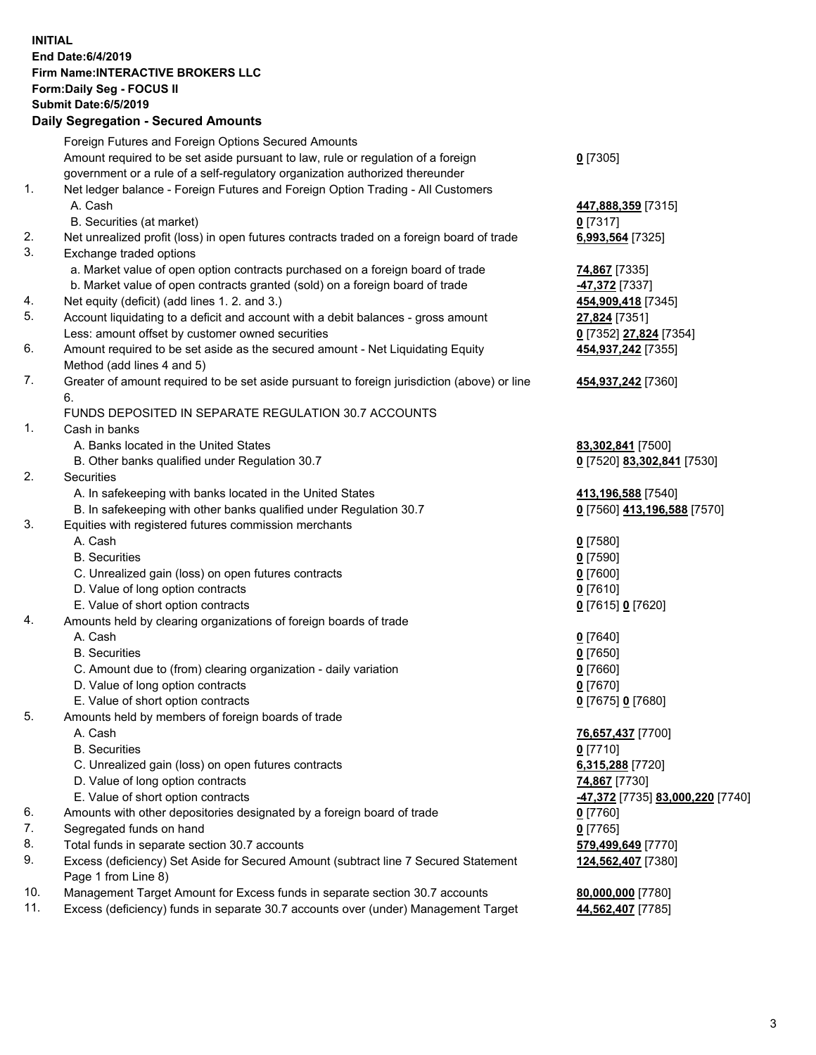## **INITIAL End Date:6/4/2019 Firm Name:INTERACTIVE BROKERS LLC Form:Daily Seg - FOCUS II Submit Date:6/5/2019 Daily Segregation - Secured Amounts**

|                | Daily Ocglegation - Occured Anioants                                                        |                                                      |
|----------------|---------------------------------------------------------------------------------------------|------------------------------------------------------|
|                | Foreign Futures and Foreign Options Secured Amounts                                         |                                                      |
|                | Amount required to be set aside pursuant to law, rule or regulation of a foreign            | $0$ [7305]                                           |
|                | government or a rule of a self-regulatory organization authorized thereunder                |                                                      |
| 1.             | Net ledger balance - Foreign Futures and Foreign Option Trading - All Customers             |                                                      |
|                | A. Cash                                                                                     | 447,888,359 [7315]                                   |
|                | B. Securities (at market)                                                                   | $0$ [7317]                                           |
| 2.             | Net unrealized profit (loss) in open futures contracts traded on a foreign board of trade   | 6,993,564 [7325]                                     |
| 3.             | Exchange traded options                                                                     |                                                      |
|                | a. Market value of open option contracts purchased on a foreign board of trade              | <b>74,867</b> [7335]                                 |
|                | b. Market value of open contracts granted (sold) on a foreign board of trade                | 47,372 [7337]                                        |
| 4.             | Net equity (deficit) (add lines 1. 2. and 3.)                                               | 454,909,418 [7345]                                   |
| 5.             | Account liquidating to a deficit and account with a debit balances - gross amount           | 27,824 [7351]                                        |
|                | Less: amount offset by customer owned securities                                            | 0 [7352] 27,824 [7354]                               |
| 6.             | Amount required to be set aside as the secured amount - Net Liquidating Equity              | 454,937,242 [7355]                                   |
|                | Method (add lines 4 and 5)                                                                  |                                                      |
| 7.             | Greater of amount required to be set aside pursuant to foreign jurisdiction (above) or line | 454,937,242 [7360]                                   |
|                | 6.                                                                                          |                                                      |
|                | FUNDS DEPOSITED IN SEPARATE REGULATION 30.7 ACCOUNTS                                        |                                                      |
| $\mathbf{1}$ . | Cash in banks                                                                               |                                                      |
|                | A. Banks located in the United States                                                       | 83,302,841 [7500]                                    |
|                | B. Other banks qualified under Regulation 30.7                                              | 0 [7520] 83,302,841 [7530]                           |
| 2.             | Securities                                                                                  |                                                      |
|                | A. In safekeeping with banks located in the United States                                   | 413,196,588 [7540]                                   |
|                | B. In safekeeping with other banks qualified under Regulation 30.7                          | 0 [7560] 413,196,588 [7570]                          |
| 3.             | Equities with registered futures commission merchants                                       |                                                      |
|                | A. Cash                                                                                     | $0$ [7580]                                           |
|                | <b>B.</b> Securities                                                                        | $0$ [7590]                                           |
|                | C. Unrealized gain (loss) on open futures contracts                                         | $0$ [7600]                                           |
|                | D. Value of long option contracts<br>E. Value of short option contracts                     | $0$ [7610]                                           |
| 4.             | Amounts held by clearing organizations of foreign boards of trade                           | 0 [7615] 0 [7620]                                    |
|                | A. Cash                                                                                     | $0$ [7640]                                           |
|                | <b>B.</b> Securities                                                                        | $0$ [7650]                                           |
|                | C. Amount due to (from) clearing organization - daily variation                             | $0$ [7660]                                           |
|                | D. Value of long option contracts                                                           | $0$ [7670]                                           |
|                | E. Value of short option contracts                                                          | 0 [7675] 0 [7680]                                    |
| 5.             | Amounts held by members of foreign boards of trade                                          |                                                      |
|                | A. Cash                                                                                     | 76,657,437 [7700]                                    |
|                | <b>B.</b> Securities                                                                        | $0$ [7710]                                           |
|                | C. Unrealized gain (loss) on open futures contracts                                         | 6,315,288 [7720]                                     |
|                | D. Value of long option contracts                                                           | 74,867 [7730]                                        |
|                | E. Value of short option contracts                                                          | <mark>-47,372</mark> [7735] <b>83,000,220</b> [7740] |
| 6.             | Amounts with other depositories designated by a foreign board of trade                      | 0 [7760]                                             |
| 7.             | Segregated funds on hand                                                                    | $0$ [7765]                                           |
| 8.             | Total funds in separate section 30.7 accounts                                               | 579,499,649 [7770]                                   |
| 9.             | Excess (deficiency) Set Aside for Secured Amount (subtract line 7 Secured Statement         | 124,562,407 [7380]                                   |
|                | Page 1 from Line 8)                                                                         |                                                      |
| 10.            | Management Target Amount for Excess funds in separate section 30.7 accounts                 | 80,000,000 [7780]                                    |
| 11.            | Excess (deficiency) funds in separate 30.7 accounts over (under) Management Target          | 44,562,407 [7785]                                    |
|                |                                                                                             |                                                      |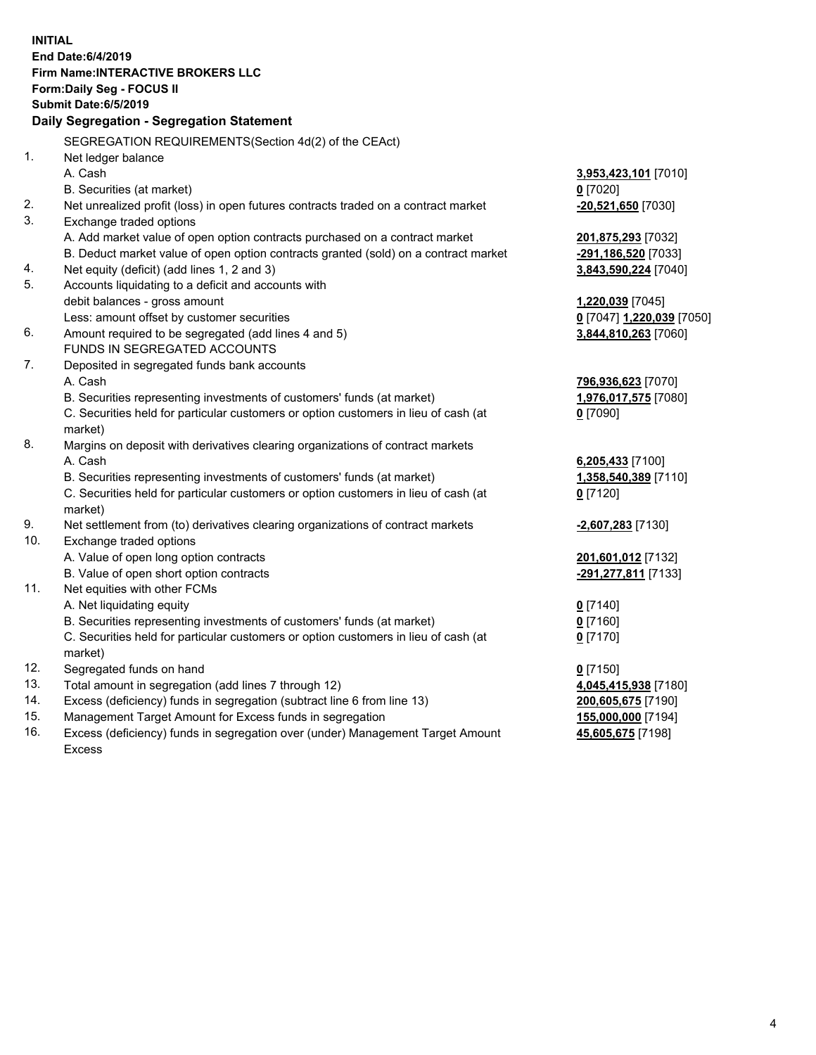| End Date: 6/4/2019<br><b>Firm Name:INTERACTIVE BROKERS LLC</b><br>Form: Daily Seg - FOCUS II<br><b>Submit Date:6/5/2019</b><br>Daily Segregation - Segregation Statement<br>SEGREGATION REQUIREMENTS(Section 4d(2) of the CEAct)<br>1.<br>Net ledger balance<br>A. Cash<br>3,953,423,101 [7010]<br>$0$ [7020]<br>B. Securities (at market)<br>2.<br>Net unrealized profit (loss) in open futures contracts traded on a contract market<br>-20,521,650 [7030]<br>3.<br>Exchange traded options<br>A. Add market value of open option contracts purchased on a contract market<br>201,875,293 [7032]<br>B. Deduct market value of open option contracts granted (sold) on a contract market<br>-291,186,520 [7033]<br>Net equity (deficit) (add lines 1, 2 and 3)<br>4.<br>3,843,590,224 [7040]<br>5.<br>Accounts liquidating to a deficit and accounts with<br>debit balances - gross amount<br>1,220,039 [7045]<br>Less: amount offset by customer securities<br>0 [7047] 1,220,039 [7050]<br>6.<br>Amount required to be segregated (add lines 4 and 5)<br>3,844,810,263 [7060]<br>FUNDS IN SEGREGATED ACCOUNTS<br>7.<br>Deposited in segregated funds bank accounts<br>A. Cash<br>796,936,623 [7070] |  |
|--------------------------------------------------------------------------------------------------------------------------------------------------------------------------------------------------------------------------------------------------------------------------------------------------------------------------------------------------------------------------------------------------------------------------------------------------------------------------------------------------------------------------------------------------------------------------------------------------------------------------------------------------------------------------------------------------------------------------------------------------------------------------------------------------------------------------------------------------------------------------------------------------------------------------------------------------------------------------------------------------------------------------------------------------------------------------------------------------------------------------------------------------------------------------------------------------------|--|
|                                                                                                                                                                                                                                                                                                                                                                                                                                                                                                                                                                                                                                                                                                                                                                                                                                                                                                                                                                                                                                                                                                                                                                                                        |  |
|                                                                                                                                                                                                                                                                                                                                                                                                                                                                                                                                                                                                                                                                                                                                                                                                                                                                                                                                                                                                                                                                                                                                                                                                        |  |
|                                                                                                                                                                                                                                                                                                                                                                                                                                                                                                                                                                                                                                                                                                                                                                                                                                                                                                                                                                                                                                                                                                                                                                                                        |  |
|                                                                                                                                                                                                                                                                                                                                                                                                                                                                                                                                                                                                                                                                                                                                                                                                                                                                                                                                                                                                                                                                                                                                                                                                        |  |
|                                                                                                                                                                                                                                                                                                                                                                                                                                                                                                                                                                                                                                                                                                                                                                                                                                                                                                                                                                                                                                                                                                                                                                                                        |  |
|                                                                                                                                                                                                                                                                                                                                                                                                                                                                                                                                                                                                                                                                                                                                                                                                                                                                                                                                                                                                                                                                                                                                                                                                        |  |
|                                                                                                                                                                                                                                                                                                                                                                                                                                                                                                                                                                                                                                                                                                                                                                                                                                                                                                                                                                                                                                                                                                                                                                                                        |  |
|                                                                                                                                                                                                                                                                                                                                                                                                                                                                                                                                                                                                                                                                                                                                                                                                                                                                                                                                                                                                                                                                                                                                                                                                        |  |
|                                                                                                                                                                                                                                                                                                                                                                                                                                                                                                                                                                                                                                                                                                                                                                                                                                                                                                                                                                                                                                                                                                                                                                                                        |  |
|                                                                                                                                                                                                                                                                                                                                                                                                                                                                                                                                                                                                                                                                                                                                                                                                                                                                                                                                                                                                                                                                                                                                                                                                        |  |
|                                                                                                                                                                                                                                                                                                                                                                                                                                                                                                                                                                                                                                                                                                                                                                                                                                                                                                                                                                                                                                                                                                                                                                                                        |  |
|                                                                                                                                                                                                                                                                                                                                                                                                                                                                                                                                                                                                                                                                                                                                                                                                                                                                                                                                                                                                                                                                                                                                                                                                        |  |
|                                                                                                                                                                                                                                                                                                                                                                                                                                                                                                                                                                                                                                                                                                                                                                                                                                                                                                                                                                                                                                                                                                                                                                                                        |  |
|                                                                                                                                                                                                                                                                                                                                                                                                                                                                                                                                                                                                                                                                                                                                                                                                                                                                                                                                                                                                                                                                                                                                                                                                        |  |
|                                                                                                                                                                                                                                                                                                                                                                                                                                                                                                                                                                                                                                                                                                                                                                                                                                                                                                                                                                                                                                                                                                                                                                                                        |  |
|                                                                                                                                                                                                                                                                                                                                                                                                                                                                                                                                                                                                                                                                                                                                                                                                                                                                                                                                                                                                                                                                                                                                                                                                        |  |
|                                                                                                                                                                                                                                                                                                                                                                                                                                                                                                                                                                                                                                                                                                                                                                                                                                                                                                                                                                                                                                                                                                                                                                                                        |  |
|                                                                                                                                                                                                                                                                                                                                                                                                                                                                                                                                                                                                                                                                                                                                                                                                                                                                                                                                                                                                                                                                                                                                                                                                        |  |
|                                                                                                                                                                                                                                                                                                                                                                                                                                                                                                                                                                                                                                                                                                                                                                                                                                                                                                                                                                                                                                                                                                                                                                                                        |  |
|                                                                                                                                                                                                                                                                                                                                                                                                                                                                                                                                                                                                                                                                                                                                                                                                                                                                                                                                                                                                                                                                                                                                                                                                        |  |
|                                                                                                                                                                                                                                                                                                                                                                                                                                                                                                                                                                                                                                                                                                                                                                                                                                                                                                                                                                                                                                                                                                                                                                                                        |  |
| 1,976,017,575 [7080]<br>B. Securities representing investments of customers' funds (at market)                                                                                                                                                                                                                                                                                                                                                                                                                                                                                                                                                                                                                                                                                                                                                                                                                                                                                                                                                                                                                                                                                                         |  |
| C. Securities held for particular customers or option customers in lieu of cash (at<br>$0$ [7090]                                                                                                                                                                                                                                                                                                                                                                                                                                                                                                                                                                                                                                                                                                                                                                                                                                                                                                                                                                                                                                                                                                      |  |
| market)                                                                                                                                                                                                                                                                                                                                                                                                                                                                                                                                                                                                                                                                                                                                                                                                                                                                                                                                                                                                                                                                                                                                                                                                |  |
| 8.<br>Margins on deposit with derivatives clearing organizations of contract markets                                                                                                                                                                                                                                                                                                                                                                                                                                                                                                                                                                                                                                                                                                                                                                                                                                                                                                                                                                                                                                                                                                                   |  |
| A. Cash<br>6,205,433 [7100]                                                                                                                                                                                                                                                                                                                                                                                                                                                                                                                                                                                                                                                                                                                                                                                                                                                                                                                                                                                                                                                                                                                                                                            |  |
| B. Securities representing investments of customers' funds (at market)<br>1,358,540,389 [7110]                                                                                                                                                                                                                                                                                                                                                                                                                                                                                                                                                                                                                                                                                                                                                                                                                                                                                                                                                                                                                                                                                                         |  |
| C. Securities held for particular customers or option customers in lieu of cash (at<br>$0$ [7120]                                                                                                                                                                                                                                                                                                                                                                                                                                                                                                                                                                                                                                                                                                                                                                                                                                                                                                                                                                                                                                                                                                      |  |
| market)                                                                                                                                                                                                                                                                                                                                                                                                                                                                                                                                                                                                                                                                                                                                                                                                                                                                                                                                                                                                                                                                                                                                                                                                |  |
| 9.<br>Net settlement from (to) derivatives clearing organizations of contract markets<br>-2,607,283 [7130]                                                                                                                                                                                                                                                                                                                                                                                                                                                                                                                                                                                                                                                                                                                                                                                                                                                                                                                                                                                                                                                                                             |  |
| 10.<br>Exchange traded options                                                                                                                                                                                                                                                                                                                                                                                                                                                                                                                                                                                                                                                                                                                                                                                                                                                                                                                                                                                                                                                                                                                                                                         |  |
| A. Value of open long option contracts<br>201,601,012 [7132]                                                                                                                                                                                                                                                                                                                                                                                                                                                                                                                                                                                                                                                                                                                                                                                                                                                                                                                                                                                                                                                                                                                                           |  |
| B. Value of open short option contracts<br>-291,277,811 [7133]                                                                                                                                                                                                                                                                                                                                                                                                                                                                                                                                                                                                                                                                                                                                                                                                                                                                                                                                                                                                                                                                                                                                         |  |
| 11.<br>Net equities with other FCMs                                                                                                                                                                                                                                                                                                                                                                                                                                                                                                                                                                                                                                                                                                                                                                                                                                                                                                                                                                                                                                                                                                                                                                    |  |
| A. Net liquidating equity<br>$0$ [7140]                                                                                                                                                                                                                                                                                                                                                                                                                                                                                                                                                                                                                                                                                                                                                                                                                                                                                                                                                                                                                                                                                                                                                                |  |
| B. Securities representing investments of customers' funds (at market)<br>$0$ [7160]                                                                                                                                                                                                                                                                                                                                                                                                                                                                                                                                                                                                                                                                                                                                                                                                                                                                                                                                                                                                                                                                                                                   |  |
| C. Securities held for particular customers or option customers in lieu of cash (at<br>$0$ [7170]<br>market)                                                                                                                                                                                                                                                                                                                                                                                                                                                                                                                                                                                                                                                                                                                                                                                                                                                                                                                                                                                                                                                                                           |  |
| 12.<br>Segregated funds on hand                                                                                                                                                                                                                                                                                                                                                                                                                                                                                                                                                                                                                                                                                                                                                                                                                                                                                                                                                                                                                                                                                                                                                                        |  |
| $0$ [7150]<br>13.<br>Total amount in segregation (add lines 7 through 12)<br>4,045,415,938 [7180]                                                                                                                                                                                                                                                                                                                                                                                                                                                                                                                                                                                                                                                                                                                                                                                                                                                                                                                                                                                                                                                                                                      |  |
| 14.<br>Excess (deficiency) funds in segregation (subtract line 6 from line 13)<br>200,605,675 [7190]                                                                                                                                                                                                                                                                                                                                                                                                                                                                                                                                                                                                                                                                                                                                                                                                                                                                                                                                                                                                                                                                                                   |  |
| 15.<br>Management Target Amount for Excess funds in segregation<br>155,000,000 [7194]                                                                                                                                                                                                                                                                                                                                                                                                                                                                                                                                                                                                                                                                                                                                                                                                                                                                                                                                                                                                                                                                                                                  |  |
| 16.<br>Excess (deficiency) funds in segregation over (under) Management Target Amount<br>45,605,675 [7198]                                                                                                                                                                                                                                                                                                                                                                                                                                                                                                                                                                                                                                                                                                                                                                                                                                                                                                                                                                                                                                                                                             |  |

16. Excess (deficiency) funds in segregation over (under) Management Target Amount Excess